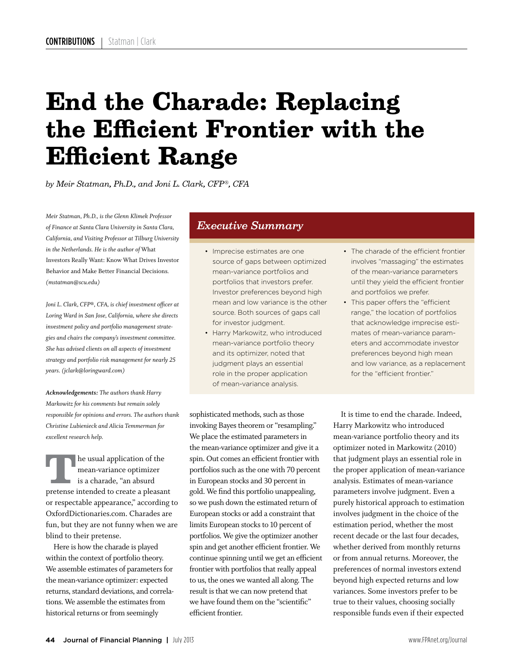# **End the Charade: Replacing the Efficient Frontier with the Efficient Range**

*by Meir Statman, Ph.D., and Joni L. Clark, CFP®, CFA*

*Meir Statman, Ph.D., is the Glenn Klimek Professor of Finance at Santa Clara University in Santa Clara, California, and Visiting Professor at Tilburg University in the Netherlands. He is the author of* What Investors Really Want: Know What Drives Investor Behavior and Make Better Financial Decisions*. (mstatman@scu.edu)*

*Joni L. Clark, CFP®, CFA, is chief investment officer at Loring Ward in San Jose, California, where she directs investment policy and portfolio management strategies and chairs the company's investment committee. She has advised clients on all aspects of investment strategy and portfolio risk management for nearly 25 years. (jclark@loringward.com)*

*Acknowledgements: The authors thank Harry Markowitz for his comments but remain solely responsible for opinions and errors. The authors thank Christine Lubienieck and Alicia Temmerman for excellent research help.*

**T**he usual application of the mean-variance optimizer is a charade, "an absurd pretense intended to create a pleasant or respectable appearance," according to OxfordDictionaries.com. Charades are fun, but they are not funny when we are blind to their pretense.

Here is how the charade is played within the context of portfolio theory. We assemble estimates of parameters for the mean-variance optimizer: expected returns, standard deviations, and correlations. We assemble the estimates from historical returns or from seemingly

# *Executive Summary*

- Imprecise estimates are one source of gaps between optimized mean-variance portfolios and portfolios that investors prefer. Investor preferences beyond high mean and low variance is the other source. Both sources of gaps call for investor judgment.
- Harry Markowitz, who introduced mean-variance portfolio theory and its optimizer, noted that judgment plays an essential role in the proper application of mean-variance analysis.

• The charade of the efficient frontier involves "massaging" the estimates of the mean-variance parameters until they yield the efficient frontier and portfolios we prefer.

• This paper offers the "efficient range," the location of portfolios that acknowledge imprecise estimates of mean-variance parameters and accommodate investor preferences beyond high mean and low variance, as a replacement for the "efficient frontier."

sophisticated methods, such as those invoking Bayes theorem or "resampling." We place the estimated parameters in the mean-variance optimizer and give it a spin. Out comes an efficient frontier with portfolios such as the one with 70 percent in European stocks and 30 percent in gold. We find this portfolio unappealing, so we push down the estimated return of European stocks or add a constraint that limits European stocks to 10 percent of portfolios. We give the optimizer another spin and get another efficient frontier. We continue spinning until we get an efficient frontier with portfolios that really appeal to us, the ones we wanted all along. The result is that we can now pretend that we have found them on the "scientific" efficient frontier.

It is time to end the charade. Indeed, Harry Markowitz who introduced mean-variance portfolio theory and its optimizer noted in Markowitz (2010) that judgment plays an essential role in the proper application of mean-variance analysis. Estimates of mean-variance parameters involve judgment. Even a purely historical approach to estimation involves judgment in the choice of the estimation period, whether the most recent decade or the last four decades, whether derived from monthly returns or from annual returns. Moreover, the preferences of normal investors extend beyond high expected returns and low variances. Some investors prefer to be true to their values, choosing socially responsible funds even if their expected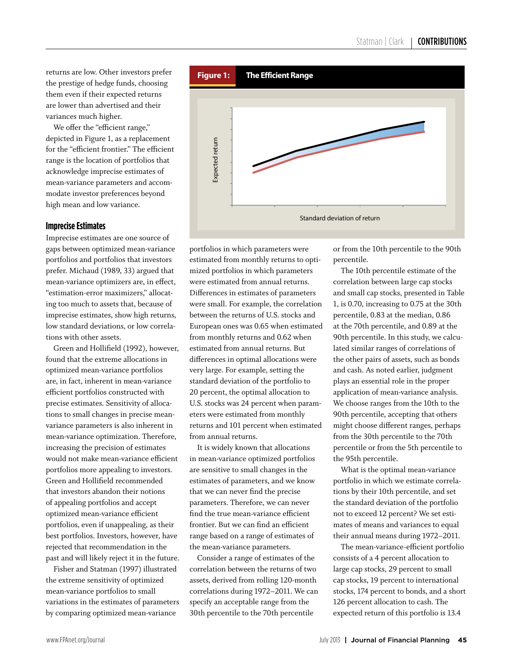returns are low. Other investors prefer the prestige of hedge funds, choosing them even if their expected returns are lower than advertised and their variances much higher.

We offer the "efficient range," depicted in Figure 1, as a replacement for the "efficient frontier." The efficient range is the location of portfolios that acknowledge imprecise estimates of mean-variance parameters and accommodate investor preferences beyond high mean and low variance.

#### **Imprecise Estimates**

Imprecise estimates are one source of gaps between optimized mean-variance portfolios and portfolios that investors prefer. Michaud (1989, 33) argued that mean-variance optimizers are, in effect, "estimation-error maximizers," allocating too much to assets that, because of imprecise estimates, show high returns, low standard deviations, or low correlations with other assets.

Green and Hollifield (1992), however, found that the extreme allocations in optimized mean-variance portfolios are, in fact, inherent in mean-variance efficient portfolios constructed with precise estimates. Sensitivity of allocations to small changes in precise meanvariance parameters is also inherent in mean-variance optimization. Therefore, increasing the precision of estimates would not make mean-variance efficient portfolios more appealing to investors. Green and Hollifield recommended that investors abandon their notions of appealing portfolios and accept optimized mean-variance efficient portfolios, even if unappealing, as their best portfolios. Investors, however, have rejected that recommendation in the past and will likely reject it in the future.

Fisher and Statman (1997) illustrated the extreme sensitivity of optimized mean-variance portfolios to small variations in the estimates of parameters by comparing optimized mean-variance



portfolios in which parameters were estimated from monthly returns to optimized portfolios in which parameters were estimated from annual returns. Differences in estimates of parameters were small. For example, the correlation between the returns of U.S. stocks and European ones was 0.65 when estimated from monthly returns and 0.62 when estimated from annual returns. But differences in optimal allocations were very large. For example, setting the standard deviation of the portfolio to 20 percent, the optimal allocation to U.S. stocks was 24 percent when parameters were estimated from monthly returns and 101 percent when estimated from annual returns.

It is widely known that allocations in mean-variance optimized portfolios are sensitive to small changes in the estimates of parameters, and we know that we can never find the precise parameters. Therefore, we can never find the true mean-variance efficient frontier. But we can find an efficient range based on a range of estimates of the mean-variance parameters.

Consider a range of estimates of the correlation between the returns of two assets, derived from rolling 120-month correlations during 1972–2011. We can specify an acceptable range from the 30th percentile to the 70th percentile

or from the 10th percentile to the 90th percentile.

The 10th percentile estimate of the correlation between large cap stocks and small cap stocks, presented in Table 1, is 0.70, increasing to 0.75 at the 30th percentile, 0.83 at the median, 0.86 at the 70th percentile, and 0.89 at the 90th percentile. In this study, we calculated similar ranges of correlations of the other pairs of assets, such as bonds and cash. As noted earlier, judgment plays an essential role in the proper application of mean-variance analysis. We choose ranges from the 10th to the 90th percentile, accepting that others might choose different ranges, perhaps from the 30th percentile to the 70th percentile or from the 5th percentile to the 95th percentile.

What is the optimal mean-variance portfolio in which we estimate correlations by their 10th percentile, and set the standard deviation of the portfolio not to exceed 12 percent? We set estimates of means and variances to equal their annual means during 1972–2011.

The mean-variance-efficient portfolio consists of a 4 percent allocation to large cap stocks, 29 percent to small cap stocks, 19 percent to international stocks, 174 percent to bonds, and a short 126 percent allocation to cash. The expected return of this portfolio is 13.4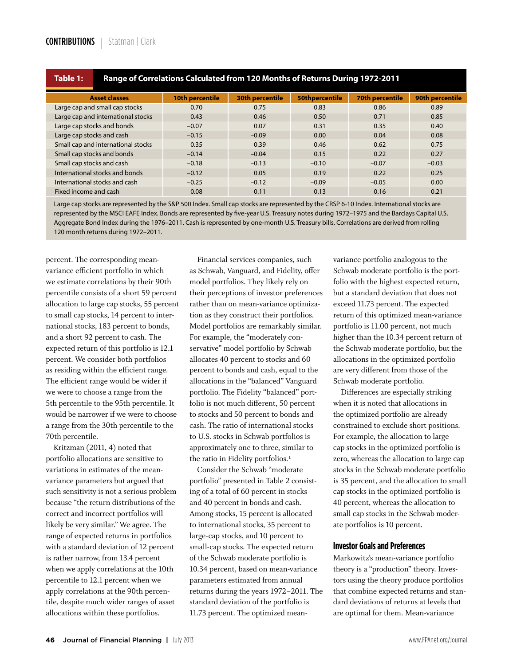| Table 1:                           | Range of Correlations Calculated from 120 Months of Returns During 1972-2011 |                        |                |                        |                 |  |  |  |  |  |
|------------------------------------|------------------------------------------------------------------------------|------------------------|----------------|------------------------|-----------------|--|--|--|--|--|
| <b>Asset classes</b>               | <b>10th percentile</b>                                                       | <b>30th percentile</b> | 50thpercentile | <b>70th percentile</b> | 90th percentile |  |  |  |  |  |
| Large cap and small cap stocks     | 0.70                                                                         | 0.75                   | 0.83           | 0.86                   | 0.89            |  |  |  |  |  |
| Large cap and international stocks | 0.43                                                                         | 0.46                   | 0.50<br>0.71   |                        | 0.85            |  |  |  |  |  |
| Large cap stocks and bonds         | $-0.07$                                                                      | 0.07                   | 0.31           | 0.35                   | 0.40            |  |  |  |  |  |
| Large cap stocks and cash          | $-0.15$                                                                      | $-0.09$                | 0.00           | 0.04                   | 0.08            |  |  |  |  |  |
| Small cap and international stocks | 0.35                                                                         | 0.39                   | 0.46           | 0.62                   | 0.75            |  |  |  |  |  |
| Small cap stocks and bonds         | $-0.14$                                                                      | $-0.04$                | 0.15           | 0.22                   | 0.27            |  |  |  |  |  |
| Small cap stocks and cash          | $-0.18$                                                                      | $-0.13$                | $-0.10$        | $-0.07$                | $-0.03$         |  |  |  |  |  |
| International stocks and bonds     | $-0.12$                                                                      | 0.05                   | 0.19           | 0.22                   | 0.25            |  |  |  |  |  |
| International stocks and cash      | $-0.25$                                                                      | $-0.12$                | $-0.09$        | $-0.05$                | 0.00            |  |  |  |  |  |
| Fixed income and cash              | 0.08                                                                         | 0.11                   | 0.13           | 0.16                   | 0.21            |  |  |  |  |  |

Large cap stocks are represented by the S&P 500 Index. Small cap stocks are represented by the CRSP 6-10 Index. International stocks are represented by the MSCI EAFE Index. Bonds are represented by five-year U.S. Treasury notes during 1972-1975 and the Barclays Capital U.S. Aggregate Bond Index during the 1976–2011. Cash is represented by one-month U.S. Treasury bills. Correlations are derived from rolling 120 month returns during 1972–2011.

percent. The corresponding meanvariance efficient portfolio in which we estimate correlations by their 90th percentile consists of a short 59 percent allocation to large cap stocks, 55 percent to small cap stocks, 14 percent to international stocks, 183 percent to bonds, and a short 92 percent to cash. The expected return of this portfolio is 12.1 percent. We consider both portfolios as residing within the efficient range. The efficient range would be wider if we were to choose a range from the 5th percentile to the 95th percentile. It would be narrower if we were to choose a range from the 30th percentile to the 70th percentile.

Kritzman (2011, 4) noted that portfolio allocations are sensitive to variations in estimates of the meanvariance parameters but argued that such sensitivity is not a serious problem because "the return distributions of the correct and incorrect portfolios will likely be very similar." We agree. The range of expected returns in portfolios with a standard deviation of 12 percent is rather narrow, from 13.4 percent when we apply correlations at the 10th percentile to 12.1 percent when we apply correlations at the 90th percentile, despite much wider ranges of asset allocations within these portfolios.

Financial services companies, such as Schwab, Vanguard, and Fidelity, offer model portfolios. They likely rely on their perceptions of investor preferences rather than on mean-variance optimization as they construct their portfolios. Model portfolios are remarkably similar. For example, the "moderately conservative" model portfolio by Schwab allocates 40 percent to stocks and 60 percent to bonds and cash, equal to the allocations in the "balanced" Vanguard portfolio. The Fidelity "balanced" portfolio is not much different, 50 percent to stocks and 50 percent to bonds and cash. The ratio of international stocks to U.S. stocks in Schwab portfolios is approximately one to three, similar to the ratio in Fidelity portfolios.<sup>1</sup>

Consider the Schwab "moderate portfolio" presented in Table 2 consisting of a total of 60 percent in stocks and 40 percent in bonds and cash. Among stocks, 15 percent is allocated to international stocks, 35 percent to large-cap stocks, and 10 percent to small-cap stocks. The expected return of the Schwab moderate portfolio is 10.34 percent, based on mean-variance parameters estimated from annual returns during the years 1972–2011. The standard deviation of the portfolio is 11.73 percent. The optimized meanvariance portfolio analogous to the Schwab moderate portfolio is the portfolio with the highest expected return, but a standard deviation that does not exceed 11.73 percent. The expected return of this optimized mean-variance portfolio is 11.00 percent, not much higher than the 10.34 percent return of the Schwab moderate portfolio, but the allocations in the optimized portfolio are very different from those of the Schwab moderate portfolio.

Differences are especially striking when it is noted that allocations in the optimized portfolio are already constrained to exclude short positions. For example, the allocation to large cap stocks in the optimized portfolio is zero, whereas the allocation to large cap stocks in the Schwab moderate portfolio is 35 percent, and the allocation to small cap stocks in the optimized portfolio is 40 percent, whereas the allocation to small cap stocks in the Schwab moderate portfolios is 10 percent.

#### **Investor Goals and Preferences**

Markowitz's mean-variance portfolio theory is a "production" theory. Investors using the theory produce portfolios that combine expected returns and standard deviations of returns at levels that are optimal for them. Mean-variance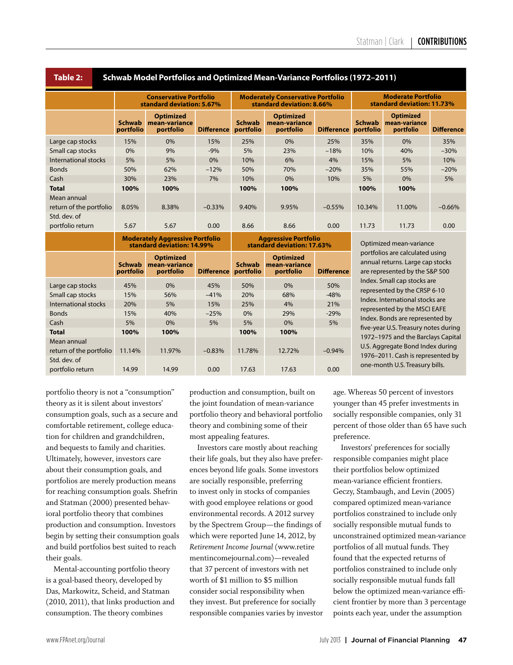**portfolio Dierence**

|                                                        | <b>Conservative Portfolio</b><br>standard deviation: 5.67%           |                                                |                   |                                                           | <b>Moderately Conservative Portfolio</b><br>standard deviation: 8.66% |                   | <b>Moderate Portfolio</b><br>standard deviation: 11.73%                                                                                                                                                                                                                                                                                                    |                                                |                   |  |
|--------------------------------------------------------|----------------------------------------------------------------------|------------------------------------------------|-------------------|-----------------------------------------------------------|-----------------------------------------------------------------------|-------------------|------------------------------------------------------------------------------------------------------------------------------------------------------------------------------------------------------------------------------------------------------------------------------------------------------------------------------------------------------------|------------------------------------------------|-------------------|--|
|                                                        | <b>Schwab</b><br>portfolio                                           | <b>Optimized</b><br>mean-variance<br>portfolio | <b>Difference</b> | <b>Schwab</b><br>portfolio                                | <b>Optimized</b><br>mean-variance<br>portfolio                        | <b>Difference</b> | <b>Schwab</b><br>portfolio                                                                                                                                                                                                                                                                                                                                 | <b>Optimized</b><br>mean-variance<br>portfolio | <b>Difference</b> |  |
| Large cap stocks                                       | 15%                                                                  | 0%                                             | 15%               | 25%                                                       | 0%                                                                    | 25%               | 35%                                                                                                                                                                                                                                                                                                                                                        | 0%                                             | 35%               |  |
| Small cap stocks                                       | 0%                                                                   | 9%                                             | $-9%$             | 5%                                                        | 23%                                                                   | $-18%$            | 10%                                                                                                                                                                                                                                                                                                                                                        | 40%                                            | $-30%$            |  |
| <b>International stocks</b>                            | 5%                                                                   | 5%                                             | 0%                | 10%                                                       | 6%                                                                    | 4%                | 15%                                                                                                                                                                                                                                                                                                                                                        | 5%                                             | 10%               |  |
| <b>Bonds</b>                                           | 50%                                                                  | 62%                                            | $-12%$            | 50%                                                       | 70%                                                                   | $-20%$            | 35%                                                                                                                                                                                                                                                                                                                                                        | 55%                                            | $-20%$            |  |
| Cash                                                   | 30%                                                                  | 23%                                            | 7%                | 10%                                                       | 0%                                                                    | 10%               | 5%                                                                                                                                                                                                                                                                                                                                                         | 0%                                             | 5%                |  |
| <b>Total</b>                                           | 100%                                                                 | 100%                                           |                   | 100%                                                      | 100%                                                                  |                   | 100%                                                                                                                                                                                                                                                                                                                                                       | 100%                                           |                   |  |
| Mean annual<br>return of the portfolio                 | 8.05%                                                                | 8.38%                                          | $-0.33%$          | 9.40%                                                     | 9.95%                                                                 | $-0.55%$          | 10.34%                                                                                                                                                                                                                                                                                                                                                     | 11.00%                                         | $-0.66%$          |  |
| Std. dev. of<br>portfolio return                       | 5.67                                                                 | 5.67                                           | 0.00              | 8.66                                                      | 8.66                                                                  | 0.00              | 11.73                                                                                                                                                                                                                                                                                                                                                      | 11.73                                          | 0.00              |  |
|                                                        | <b>Moderately Aggressive Portfolio</b><br>standard deviation: 14.99% |                                                |                   | <b>Aggressive Portfolio</b><br>standard deviation: 17.63% |                                                                       |                   | Optimized mean-variance                                                                                                                                                                                                                                                                                                                                    |                                                |                   |  |
|                                                        | <b>Schwab</b><br>portfolio                                           | <b>Optimized</b><br>mean-variance<br>portfolio | <b>Difference</b> | <b>Schwab</b><br>portfolio                                | <b>Optimized</b><br>mean-variance<br>portfolio                        | <b>Difference</b> | portfolios are calculated using<br>annual returns. Large cap stocks<br>are represented by the S&P 500                                                                                                                                                                                                                                                      |                                                |                   |  |
| Large cap stocks                                       | 45%                                                                  | 0%                                             | 45%               | 50%                                                       | 0%                                                                    | 50%               | Index. Small cap stocks are<br>represented by the CRSP 6-10<br>Index. International stocks are<br>represented by the MSCI EAFE<br>Index. Bonds are represented by<br>five-year U.S. Treasury notes during<br>1972-1975 and the Barclays Capital<br>U.S. Aggregate Bond Index during<br>1976-2011. Cash is represented by<br>one-month U.S. Treasury bills. |                                                |                   |  |
| Small cap stocks                                       | 15%                                                                  | 56%                                            | $-41%$            | 20%                                                       | 68%                                                                   | $-48%$            |                                                                                                                                                                                                                                                                                                                                                            |                                                |                   |  |
| International stocks                                   | 20%                                                                  | 5%                                             | 15%               | 25%                                                       | 4%                                                                    | 21%               |                                                                                                                                                                                                                                                                                                                                                            |                                                |                   |  |
| <b>Bonds</b>                                           | 15%                                                                  | 40%                                            | $-25%$            | 0%                                                        | 29%                                                                   | $-29%$            |                                                                                                                                                                                                                                                                                                                                                            |                                                |                   |  |
| Cash                                                   | 5%                                                                   | 0%                                             | 5%                | 5%                                                        | 0%                                                                    | 5%                |                                                                                                                                                                                                                                                                                                                                                            |                                                |                   |  |
| <b>Total</b>                                           | 100%                                                                 | 100%                                           |                   | 100%                                                      | 100%                                                                  |                   |                                                                                                                                                                                                                                                                                                                                                            |                                                |                   |  |
| Mean annual<br>return of the portfolio<br>Std. dev. of | 11.14%                                                               | 11.97%                                         | $-0.83%$          | 11.78%                                                    | 12.72%                                                                | $-0.94%$          |                                                                                                                                                                                                                                                                                                                                                            |                                                |                   |  |
| portfolio return                                       | 14.99                                                                | 14.99                                          | 0.00              | 17.63                                                     | 17.63                                                                 | 0.00              |                                                                                                                                                                                                                                                                                                                                                            |                                                |                   |  |

**Table 2: Schwab Model Portfolios and Optimized Mean-Variance Portfolios (1972–2011)** 

portfolio theory is not a "consumption" theory as it is silent about investors' consumption goals, such as a secure and comfortable retirement, college education for children and grandchildren, and bequests to family and charities. Ultimately, however, investors care about their consumption goals, and portfolios are merely production means for reaching consumption goals. Shefrin and Statman (2000) presented behavioral portfolio theory that combines production and consumption. Investors begin by setting their consumption goals and build portfolios best suited to reach their goals.

Mental-accounting portfolio theory is a goal-based theory, developed by Das, Markowitz, Scheid, and Statman (2010, 2011), that links production and consumption. The theory combines

production and consumption, built on the joint foundation of mean-variance portfolio theory and behavioral portfolio theory and combining some of their most appealing features.

Investors care mostly about reaching their life goals, but they also have preferences beyond life goals. Some investors are socially responsible, preferring to invest only in stocks of companies with good employee relations or good environmental records. A 2012 survey by the Spectrem Group—the findings of which were reported June 14, 2012, by *Retirement Income Journal* (www.retire mentincomejournal.com)—revealed that 37 percent of investors with net worth of \$1 million to \$5 million consider social responsibility when they invest. But preference for socially responsible companies varies by investor age. Whereas 50 percent of investors younger than 45 prefer investments in socially responsible companies, only 31 percent of those older than 65 have such preference.

Investors' preferences for socially responsible companies might place their portfolios below optimized mean-variance efficient frontiers. Geczy, Stambaugh, and Levin (2005) compared optimized mean-variance portfolios constrained to include only socially responsible mutual funds to unconstrained optimized mean-variance portfolios of all mutual funds. They found that the expected returns of portfolios constrained to include only socially responsible mutual funds fall below the optimized mean-variance efficient frontier by more than 3 percentage points each year, under the assumption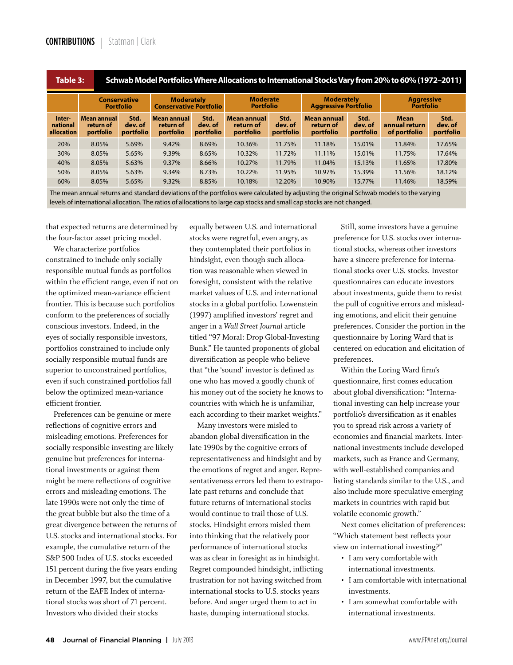|  | <b>Tahle २</b> ∙ |  |
|--|------------------|--|

**Table 3: Schwab Model Portfolios Where Allocations to International Stocks Vary from 20% to 60% (1972–2011)**

|                                  | <b>Conservative</b><br><b>Portfolio</b> |                                     | <b>Moderately</b><br><b>Conservative Portfolio</b> |                              | <b>Moderate</b><br><b>Portfolio</b>   |                              | <b>Moderately</b><br><b>Aggressive Portfolio</b> |                              | <b>Aggressive</b><br><b>Portfolio</b>        |                              |
|----------------------------------|-----------------------------------------|-------------------------------------|----------------------------------------------------|------------------------------|---------------------------------------|------------------------------|--------------------------------------------------|------------------------------|----------------------------------------------|------------------------------|
| Inter-<br>national<br>allocation | Mean annual<br>return of<br>portfolio   | Std.<br>dev. of<br><b>portfolio</b> | Mean annual<br>return of<br>portfolio              | Std.<br>dev. of<br>portfolio | Mean annual<br>return of<br>portfolio | Std.<br>dev. of<br>portfolio | <b>Mean annual</b><br>return of<br>portfolio     | Std.<br>dev. of<br>portfolio | <b>Mean</b><br>annual return<br>of portfolio | Std.<br>dev. of<br>portfolio |
| 20%                              | 8.05%                                   | 5.69%                               | 9.42%                                              | 8.69%                        | 10.36%                                | 11.75%                       | 11.18%                                           | 15.01%                       | 11.84%                                       | 17.65%                       |
| 30%                              | 8.05%                                   | 5.65%                               | 9.39%                                              | 8.65%                        | 10.32%                                | 11.72%                       | 11.11%                                           | 15.01%                       | 11.75%                                       | 17.64%                       |
| 40%                              | 8.05%                                   | 5.63%                               | 9.37%                                              | 8.66%                        | 10.27%                                | 11.79%                       | 11.04%                                           | 15.13%                       | 11.65%                                       | 17.80%                       |
| 50%                              | 8.05%                                   | 5.63%                               | 9.34%                                              | 8.73%                        | 10.22%                                | 11.95%                       | 10.97%                                           | 15.39%                       | 11.56%                                       | 18.12%                       |
| 60%                              | 8.05%                                   | 5.65%                               | 9.32%                                              | 8.85%                        | 10.18%                                | 12.20%                       | 10.90%                                           | 15.77%                       | 11.46%                                       | 18.59%                       |
|                                  |                                         |                                     |                                                    |                              |                                       |                              |                                                  |                              |                                              |                              |

The mean annual returns and standard deviations of the portfolios were calculated by adjusting the original Schwab models to the varying levels of international allocation. The ratios of allocations to large cap stocks and small cap stocks are not changed.

that expected returns are determined by the four-factor asset pricing model.

We characterize portfolios constrained to include only socially responsible mutual funds as portfolios within the efficient range, even if not on the optimized mean-variance efficient frontier. This is because such portfolios conform to the preferences of socially conscious investors. Indeed, in the eyes of socially responsible investors, portfolios constrained to include only socially responsible mutual funds are superior to unconstrained portfolios, even if such constrained portfolios fall below the optimized mean-variance efficient frontier.

Preferences can be genuine or mere reflections of cognitive errors and misleading emotions. Preferences for socially responsible investing are likely genuine but preferences for international investments or against them might be mere reflections of cognitive errors and misleading emotions. The late 1990s were not only the time of the great bubble but also the time of a great divergence between the returns of U.S. stocks and international stocks. For example, the cumulative return of the S&P 500 Index of U.S. stocks exceeded 151 percent during the five years ending in December 1997, but the cumulative return of the EAFE Index of international stocks was short of 71 percent. Investors who divided their stocks

equally between U.S. and international stocks were regretful, even angry, as they contemplated their portfolios in hindsight, even though such allocation was reasonable when viewed in foresight, consistent with the relative market values of U.S. and international stocks in a global portfolio. Lowenstein (1997) amplified investors' regret and anger in a *Wall Street Journal* article titled "97 Moral: Drop Global-Investing Bunk." He taunted proponents of global diversification as people who believe that "the 'sound' investor is defined as one who has moved a goodly chunk of his money out of the society he knows to countries with which he is unfamiliar, each according to their market weights."

Many investors were misled to abandon global diversification in the late 1990s by the cognitive errors of representativeness and hindsight and by the emotions of regret and anger. Representativeness errors led them to extrapolate past returns and conclude that future returns of international stocks would continue to trail those of U.S. stocks. Hindsight errors misled them into thinking that the relatively poor performance of international stocks was as clear in foresight as in hindsight. Regret compounded hindsight, inflicting frustration for not having switched from international stocks to U.S. stocks years before. And anger urged them to act in haste, dumping international stocks.

Still, some investors have a genuine preference for U.S. stocks over international stocks, whereas other investors have a sincere preference for international stocks over U.S. stocks. Investor questionnaires can educate investors about investments, guide them to resist the pull of cognitive errors and misleading emotions, and elicit their genuine preferences. Consider the portion in the questionnaire by Loring Ward that is centered on education and elicitation of preferences.

Within the Loring Ward firm's questionnaire, first comes education about global diversification: "International investing can help increase your portfolio's diversification as it enables you to spread risk across a variety of economies and financial markets. International investments include developed markets, such as France and Germany, with well-established companies and listing standards similar to the U.S., and also include more speculative emerging markets in countries with rapid but volatile economic growth."

Next comes elicitation of preferences: "Which statement best reflects your view on international investing?"

- • I am very comfortable with international investments.
- • I am comfortable with international investments.
- • I am somewhat comfortable with international investments.